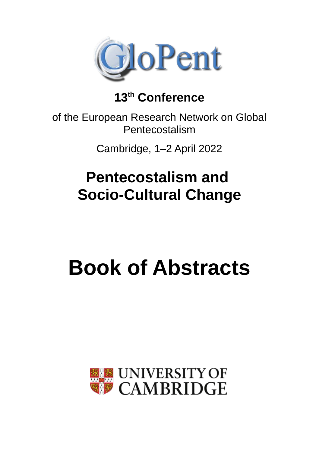

### **13th Conference**

of the European Research Network on Global Pentecostalism

Cambridge, 1–2 April 2022

# **Pentecostalism and Socio-Cultural Change**

# **Book of Abstracts**

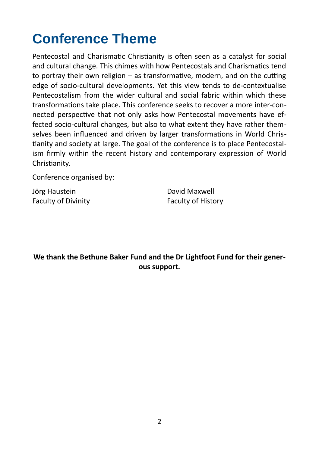# **Conference Theme**

Pentecostal and Charismatic Christianity is often seen as a catalyst for social and cultural change. This chimes with how Pentecostals and Charismatics tend to portray their own religion – as transformative, modern, and on the cutting edge of socio-cultural developments. Yet this view tends to de-contextualise Pentecostalism from the wider cultural and social fabric within which these transformations take place. This conference seeks to recover a more inter-connected perspective that not only asks how Pentecostal movements have effected socio-cultural changes, but also to what extent they have rather themselves been influenced and driven by larger transformations in World Christianity and society at large. The goal of the conference is to place Pentecostalism firmly within the recent history and contemporary expression of World Christianity.

Conference organised by:

Jörg Haustein **David Maxwell** Faculty of Divinity **Faculty of History** 

**We thank the Bethune Baker Fund and the Dr Lightfoot Fund for their generous support.**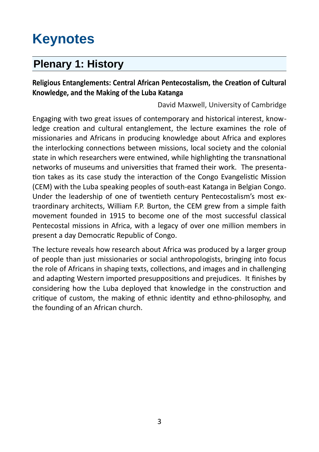## **Keynotes**

### **Plenary 1: History**

#### **Religious Entanglements: Central African Pentecostalism, the Creation of Cultural Knowledge, and the Making of the Luba Katanga**

David Maxwell, University of Cambridge

Engaging with two great issues of contemporary and historical interest, knowledge creation and cultural entanglement, the lecture examines the role of missionaries and Africans in producing knowledge about Africa and explores the interlocking connections between missions, local society and the colonial state in which researchers were entwined, while highlighting the transnational networks of museums and universities that framed their work. The presentation takes as its case study the interaction of the Congo Evangelistic Mission (CEM) with the Luba speaking peoples of south-east Katanga in Belgian Congo. Under the leadership of one of twentieth century Pentecostalism's most extraordinary architects, William F.P. Burton, the CEM grew from a simple faith movement founded in 1915 to become one of the most successful classical Pentecostal missions in Africa, with a legacy of over one million members in present a day Democratic Republic of Congo.

The lecture reveals how research about Africa was produced by a larger group of people than just missionaries or social anthropologists, bringing into focus the role of Africans in shaping texts, collections, and images and in challenging and adapting Western imported presuppositions and prejudices. It finishes by considering how the Luba deployed that knowledge in the construction and critique of custom, the making of ethnic identity and ethno-philosophy, and the founding of an African church.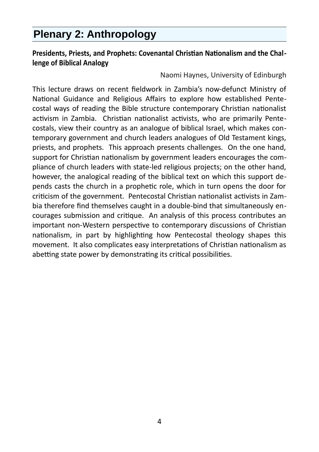### **Plenary 2: Anthropology**

#### **Presidents, Priests, and Prophets: Covenantal Christian Nationalism and the Challenge of Biblical Analogy**

Naomi Haynes, University of Edinburgh

This lecture draws on recent fieldwork in Zambia's now-defunct Ministry of National Guidance and Religious Affairs to explore how established Pentecostal ways of reading the Bible structure contemporary Christian nationalist activism in Zambia. Christian nationalist activists, who are primarily Pentecostals, view their country as an analogue of biblical Israel, which makes contemporary government and church leaders analogues of Old Testament kings, priests, and prophets. This approach presents challenges. On the one hand, support for Christian nationalism by government leaders encourages the compliance of church leaders with state-led religious projects; on the other hand, however, the analogical reading of the biblical text on which this support depends casts the church in a prophetic role, which in turn opens the door for criticism of the government. Pentecostal Christian nationalist activists in Zambia therefore find themselves caught in a double-bind that simultaneously encourages submission and critique. An analysis of this process contributes an important non-Western perspective to contemporary discussions of Christian nationalism, in part by highlighting how Pentecostal theology shapes this movement. It also complicates easy interpretations of Christian nationalism as abetting state power by demonstrating its critical possibilities.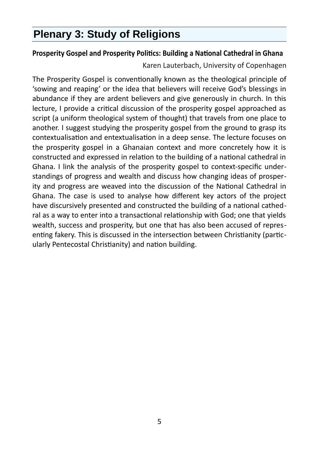### **Plenary 3: Study of Religions**

#### **Prosperity Gospel and Prosperity Politics: Building a National Cathedral in Ghana**

Karen Lauterbach, University of Copenhagen

The Prosperity Gospel is conventionally known as the theological principle of 'sowing and reaping' or the idea that believers will receive God's blessings in abundance if they are ardent believers and give generously in church. In this lecture, I provide a critical discussion of the prosperity gospel approached as script (a uniform theological system of thought) that travels from one place to another. I suggest studying the prosperity gospel from the ground to grasp its contextualisation and entextualisation in a deep sense. The lecture focuses on the prosperity gospel in a Ghanaian context and more concretely how it is constructed and expressed in relation to the building of a national cathedral in Ghana. I link the analysis of the prosperity gospel to context-specific understandings of progress and wealth and discuss how changing ideas of prosperity and progress are weaved into the discussion of the National Cathedral in Ghana. The case is used to analyse how different key actors of the project have discursively presented and constructed the building of a national cathedral as a way to enter into a transactional relationship with God; one that yields wealth, success and prosperity, but one that has also been accused of representing fakery. This is discussed in the intersection between Christianity (particularly Pentecostal Christianity) and nation building.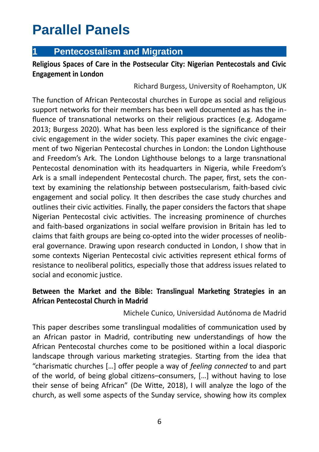### **Parallel Panels**

#### **1 Pentecostalism and Migration**

#### **Religious Spaces of Care in the Postsecular City: Nigerian Pentecostals and Civic Engagement in London**

Richard Burgess, University of Roehampton, UK

The function of African Pentecostal churches in Europe as social and religious support networks for their members has been well documented as has the influence of transnational networks on their religious practices (e.g. Adogame 2013; Burgess 2020). What has been less explored is the significance of their civic engagement in the wider society. This paper examines the civic engagement of two Nigerian Pentecostal churches in London: the London Lighthouse and Freedom's Ark. The London Lighthouse belongs to a large transnational Pentecostal denomination with its headquarters in Nigeria, while Freedom's Ark is a small independent Pentecostal church. The paper, first, sets the context by examining the relationship between postsecularism, faith-based civic engagement and social policy. It then describes the case study churches and outlines their civic activities. Finally, the paper considers the factors that shape Nigerian Pentecostal civic activities. The increasing prominence of churches and faith-based organizations in social welfare provision in Britain has led to claims that faith groups are being co-opted into the wider processes of neoliberal governance. Drawing upon research conducted in London, I show that in some contexts Nigerian Pentecostal civic activities represent ethical forms of resistance to neoliberal politics, especially those that address issues related to social and economic justice.

#### **Between the Market and the Bible: Translingual Marketing Strategies in an African Pentecostal Church in Madrid**

#### Michele Cunico, Universidad Autónoma de Madrid

This paper describes some translingual modalities of communication used by an African pastor in Madrid, contributing new understandings of how the African Pentecostal churches come to be positioned within a local diasporic landscape through various marketing strategies. Starting from the idea that "charismatic churches […] offer people a way of *feeling connected* to and part of the world, of being global citizens–consumers, […] without having to lose their sense of being African" (De Witte, 2018), I will analyze the logo of the church, as well some aspects of the Sunday service, showing how its complex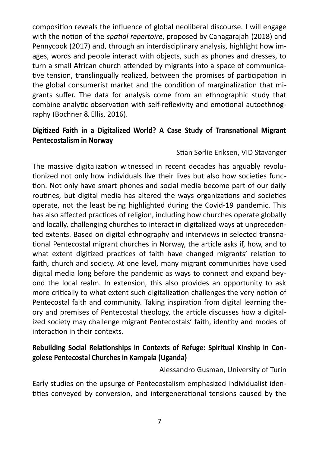composition reveals the influence of global neoliberal discourse. I will engage with the notion of the *spatial repertoire*, proposed by Canagarajah (2018) and Pennycook (2017) and, through an interdisciplinary analysis, highlight how images, words and people interact with objects, such as phones and dresses, to turn a small African church attended by migrants into a space of communicative tension, translingually realized, between the promises of participation in the global consumerist market and the condition of marginalization that migrants suffer. The data for analysis come from an ethnographic study that combine analytic observation with self-reflexivity and emotional autoethnography (Bochner & Ellis, 2016).

#### **Digitized Faith in a Digitalized World? A Case Study of Transnational Migrant Pentecostalism in Norway**

#### Stian Sørlie Eriksen, VID Stavanger

The massive digitalization witnessed in recent decades has arguably revolutionized not only how individuals live their lives but also how societies function. Not only have smart phones and social media become part of our daily routines, but digital media has altered the ways organizations and societies operate, not the least being highlighted during the Covid-19 pandemic. This has also affected practices of religion, including how churches operate globally and locally, challenging churches to interact in digitalized ways at unprecedented extents. Based on digital ethnography and interviews in selected transnational Pentecostal migrant churches in Norway, the article asks if, how, and to what extent digitized practices of faith have changed migrants' relation to faith, church and society. At one level, many migrant communities have used digital media long before the pandemic as ways to connect and expand beyond the local realm. In extension, this also provides an opportunity to ask more critically to what extent such digitalization challenges the very notion of Pentecostal faith and community. Taking inspiration from digital learning theory and premises of Pentecostal theology, the article discusses how a digitalized society may challenge migrant Pentecostals' faith, identity and modes of interaction in their contexts.

#### **Rebuilding Social Relationships in Contexts of Refuge: Spiritual Kinship in Congolese Pentecostal Churches in Kampala (Uganda)**

Alessandro Gusman, University of Turin

Early studies on the upsurge of Pentecostalism emphasized individualist identities conveyed by conversion, and intergenerational tensions caused by the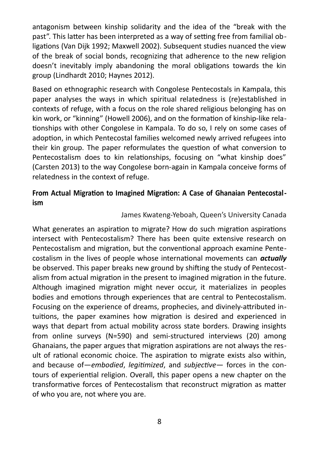antagonism between kinship solidarity and the idea of the "break with the past". This latter has been interpreted as a way of setting free from familial obligations (Van Dijk 1992; Maxwell 2002). Subsequent studies nuanced the view of the break of social bonds, recognizing that adherence to the new religion doesn't inevitably imply abandoning the moral obligations towards the kin group (Lindhardt 2010; Haynes 2012).

Based on ethnographic research with Congolese Pentecostals in Kampala, this paper analyses the ways in which spiritual relatedness is (re)established in contexts of refuge, with a focus on the role shared religious belonging has on kin work, or "kinning" (Howell 2006), and on the formation of kinship-like relationships with other Congolese in Kampala. To do so, I rely on some cases of adoption, in which Pentecostal families welcomed newly arrived refugees into their kin group. The paper reformulates the question of what conversion to Pentecostalism does to kin relationships, focusing on "what kinship does" (Carsten 2013) to the way Congolese born-again in Kampala conceive forms of relatedness in the context of refuge.

#### **From Actual Migration to Imagined Migration: A Case of Ghanaian Pentecostalism**

#### James Kwateng-Yeboah, Queen's University Canada

What generates an aspiration to migrate? How do such migration aspirations intersect with Pentecostalism? There has been quite extensive research on Pentecostalism and migration, but the conventional approach examine Pentecostalism in the lives of people whose international movements can *actually* be observed. This paper breaks new ground by shifting the study of Pentecostalism from actual migration in the present to imagined migration in the future. Although imagined migration might never occur, it materializes in peoples bodies and emotions through experiences that are central to Pentecostalism. Focusing on the experience of dreams, prophecies, and divinely-attributed intuitions, the paper examines how migration is desired and experienced in ways that depart from actual mobility across state borders. Drawing insights from online surveys (N=590) and semi-structured interviews (20) among Ghanaians, the paper argues that migration aspirations are not always the result of rational economic choice. The aspiration to migrate exists also within, and because of—*embodied*, *legitimized*, and *subjective*— forces in the contours of experiential religion. Overall, this paper opens a new chapter on the transformative forces of Pentecostalism that reconstruct migration as matter of who you are, not where you are.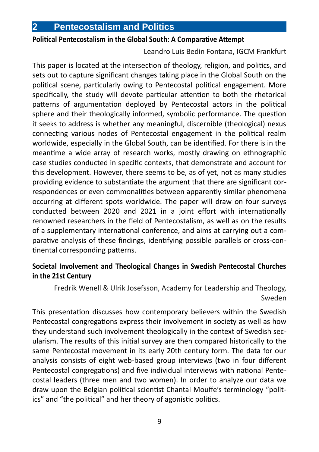#### **Political Pentecostalism in the Global South: A Comparative Attempt**

Leandro Luis Bedin Fontana, IGCM Frankfurt

This paper is located at the intersection of theology, religion, and politics, and sets out to capture significant changes taking place in the Global South on the political scene, particularly owing to Pentecostal political engagement. More specifically, the study will devote particular attention to both the rhetorical patterns of argumentation deployed by Pentecostal actors in the political sphere and their theologically informed, symbolic performance. The question it seeks to address is whether any meaningful, discernible (theological) nexus connecting various nodes of Pentecostal engagement in the political realm worldwide, especially in the Global South, can be identified. For there is in the meantime a wide array of research works, mostly drawing on ethnographic case studies conducted in specific contexts, that demonstrate and account for this development. However, there seems to be, as of yet, not as many studies providing evidence to substantiate the argument that there are significant correspondences or even commonalities between apparently similar phenomena occurring at different spots worldwide. The paper will draw on four surveys conducted between 2020 and 2021 in a joint effort with internationally renowned researchers in the field of Pentecostalism, as well as on the results of a supplementary international conference, and aims at carrying out a comparative analysis of these findings, identifying possible parallels or cross-continental corresponding patterns.

#### **Societal Involvement and Theological Changes in Swedish Pentecostal Churches in the 21st Century**

Fredrik Wenell & Ulrik Josefsson, Academy for Leadership and Theology, Sweden

This presentation discusses how contemporary believers within the Swedish Pentecostal congregations express their involvement in society as well as how they understand such involvement theologically in the context of Swedish secularism. The results of this initial survey are then compared historically to the same Pentecostal movement in its early 20th century form. The data for our analysis consists of eight web-based group interviews (two in four different Pentecostal congregations) and five individual interviews with national Pentecostal leaders (three men and two women). In order to analyze our data we draw upon the Belgian political scientist Chantal Mouffe's terminology "politics" and "the political" and her theory of agonistic politics.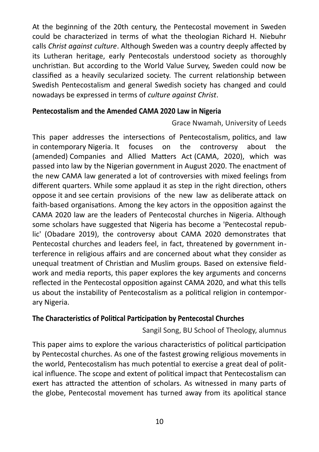At the beginning of the 20th century, the Pentecostal movement in Sweden could be characterized in terms of what the theologian Richard H. Niebuhr calls *Christ against culture*. Although Sweden was a country deeply affected by its Lutheran heritage, early Pentecostals understood society as thoroughly unchristian. But according to the World Value Survey, Sweden could now be classified as a heavily secularized society. The current relationship between Swedish Pentecostalism and general Swedish society has changed and could nowadays be expressed in terms of *culture against Christ*.

#### **Pentecostalism and the Amended CAMA 2020 Law in Nigeria**

Grace Nwamah, University of Leeds

This paper addresses the intersections of Pentecostalism, politics, and law in contemporary Nigeria. It focuses on the controversy about the (amended) Companies and Allied Matters Act (CAMA, 2020), which was passed into law by the Nigerian government in August 2020. The enactment of the new CAMA law generated a lot of controversies with mixed feelings from different quarters. While some applaud it as step in the right direction, others oppose it and see certain provisions of the new law as deliberate attack on faith-based organisations. Among the key actors in the opposition against the CAMA 2020 law are the leaders of Pentecostal churches in Nigeria. Although some scholars have suggested that Nigeria has become a 'Pentecostal republic' (Obadare 2019), the controversy about CAMA 2020 demonstrates that Pentecostal churches and leaders feel, in fact, threatened by government interference in religious affairs and are concerned about what they consider as unequal treatment of Christian and Muslim groups. Based on extensive fieldwork and media reports, this paper explores the key arguments and concerns reflected in the Pentecostal opposition against CAMA 2020, and what this tells us about the instability of Pentecostalism as a political religion in contemporary Nigeria.

#### **The Characteristics of Political Participation by Pentecostal Churches**

Sangil Song, BU School of Theology, alumnus

This paper aims to explore the various characteristics of political participation by Pentecostal churches. As one of the fastest growing religious movements in the world, Pentecostalism has much potential to exercise a great deal of political influence. The scope and extent of political impact that Pentecostalism can exert has attracted the attention of scholars. As witnessed in many parts of the globe, Pentecostal movement has turned away from its apolitical stance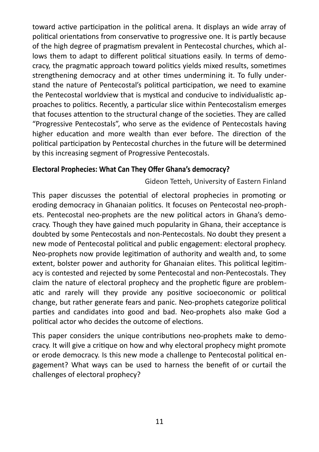toward active participation in the political arena. It displays an wide array of political orientations from conservative to progressive one. It is partly because of the high degree of pragmatism prevalent in Pentecostal churches, which allows them to adapt to different political situations easily. In terms of democracy, the pragmatic approach toward politics yields mixed results, sometimes strengthening democracy and at other times undermining it. To fully understand the nature of Pentecostal's political participation, we need to examine the Pentecostal worldview that is mystical and conducive to individualistic approaches to politics. Recently, a particular slice within Pentecostalism emerges that focuses attention to the structural change of the societies. They are called "Progressive Pentecostals", who serve as the evidence of Pentecostals having higher education and more wealth than ever before. The direction of the political participation by Pentecostal churches in the future will be determined by this increasing segment of Progressive Pentecostals.

#### **Electoral Prophecies: What Can They Offer Ghana's democracy?**

Gideon Tetteh, University of Eastern Finland

This paper discusses the potential of electoral prophecies in promoting or eroding democracy in Ghanaian politics. It focuses on Pentecostal neo-prophets. Pentecostal neo-prophets are the new political actors in Ghana's democracy. Though they have gained much popularity in Ghana, their acceptance is doubted by some Pentecostals and non-Pentecostals. No doubt they present a new mode of Pentecostal political and public engagement: electoral prophecy. Neo-prophets now provide legitimation of authority and wealth and, to some extent, bolster power and authority for Ghanaian elites. This political legitimacy is contested and rejected by some Pentecostal and non-Pentecostals. They claim the nature of electoral prophecy and the prophetic figure are problematic and rarely will they provide any positive socioeconomic or political change, but rather generate fears and panic. Neo-prophets categorize political parties and candidates into good and bad. Neo-prophets also make God a political actor who decides the outcome of elections.

This paper considers the unique contributions neo-prophets make to democracy. It will give a critique on how and why electoral prophecy might promote or erode democracy. Is this new mode a challenge to Pentecostal political engagement? What ways can be used to harness the benefit of or curtail the challenges of electoral prophecy?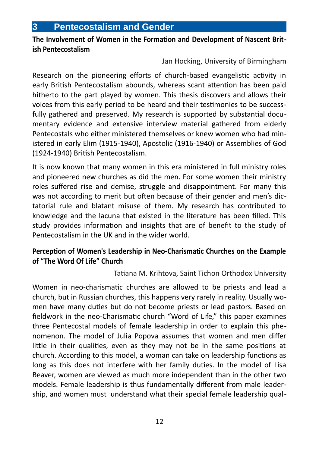#### **3 Pentecostalism and Gender**

#### **The Involvement of Women in the Formation and Development of Nascent British Pentecostalism**

Jan Hocking, University of Birmingham

Research on the pioneering efforts of church-based evangelistic activity in early British Pentecostalism abounds, whereas scant attention has been paid hitherto to the part played by women. This thesis discovers and allows their voices from this early period to be heard and their testimonies to be successfully gathered and preserved. My research is supported by substantial documentary evidence and extensive interview material gathered from elderly Pentecostals who either ministered themselves or knew women who had ministered in early Elim (1915-1940), Apostolic (1916-1940) or Assemblies of God (1924-1940) British Pentecostalism.

It is now known that many women in this era ministered in full ministry roles and pioneered new churches as did the men. For some women their ministry roles suffered rise and demise, struggle and disappointment. For many this was not according to merit but often because of their gender and men's dictatorial rule and blatant misuse of them. My research has contributed to knowledge and the lacuna that existed in the literature has been filled. This study provides information and insights that are of benefit to the study of Pentecostalism in the UK and in the wider world.

#### **Perception of Women's Leadership in Neo-Charismatic Churches on the Example of "The Word Of Life" Church**

Tatiana M. Krihtova, Saint Tichon Orthodox University

Women in neo-charismatic churches are allowed to be priests and lead a church, but in Russian churches, this happens very rarely in reality. Usually women have many duties but do not become priests or lead pastors. Based on fieldwork in the neo-Charismatic church "Word of Life," this paper examines three Pentecostal models of female leadership in order to explain this phenomenon. The model of Julia Popova assumes that women and men differ little in their qualities, even as they may not be in the same positions at church. According to this model, a woman can take on leadership functions as long as this does not interfere with her family duties. In the model of Lisa Beaver, women are viewed as much more independent than in the other two models. Female leadership is thus fundamentally different from male leadership, and women must understand what their special female leadership qual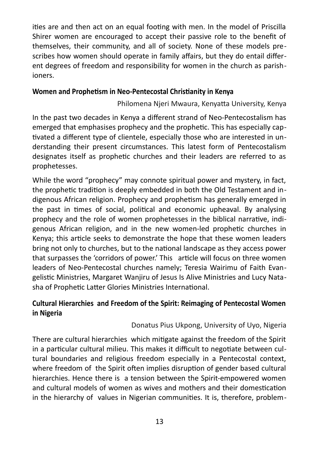ities are and then act on an equal footing with men. In the model of Priscilla Shirer women are encouraged to accept their passive role to the benefit of themselves, their community, and all of society. None of these models prescribes how women should operate in family affairs, but they do entail different degrees of freedom and responsibility for women in the church as parishioners.

#### **Women and Prophetism in Neo-Pentecostal Christianity in Kenya**

Philomena Njeri Mwaura, Kenyatta University, Kenya

In the past two decades in Kenya a different strand of Neo-Pentecostalism has emerged that emphasises prophecy and the prophetic. This has especially captivated a different type of clientele, especially those who are interested in understanding their present circumstances. This latest form of Pentecostalism designates itself as prophetic churches and their leaders are referred to as prophetesses.

While the word "prophecy" may connote spiritual power and mystery, in fact, the prophetic tradition is deeply embedded in both the Old Testament and indigenous African religion. Prophecy and prophetism has generally emerged in the past in times of social, political and economic upheaval. By analysing prophecy and the role of women prophetesses in the biblical narrative, indigenous African religion, and in the new women-led prophetic churches in Kenya; this article seeks to demonstrate the hope that these women leaders bring not only to churches, but to the national landscape as they access power that surpasses the 'corridors of power.' This article will focus on three women leaders of Neo-Pentecostal churches namely; Teresia Wairimu of Faith Evangelistic Ministries, Margaret Wanjiru of Jesus Is Alive Ministries and Lucy Natasha of Prophetic Latter Glories Ministries International.

#### **Cultural Hierarchies and Freedom of the Spirit: Reimaging of Pentecostal Women in Nigeria**

#### Donatus Pius Ukpong, University of Uyo, Nigeria

There are cultural hierarchies which mitigate against the freedom of the Spirit in a particular cultural milieu. This makes it difficult to negotiate between cultural boundaries and religious freedom especially in a Pentecostal context, where freedom of the Spirit often implies disruption of gender based cultural hierarchies. Hence there is a tension between the Spirit-empowered women and cultural models of women as wives and mothers and their domestication in the hierarchy of values in Nigerian communities. It is, therefore, problem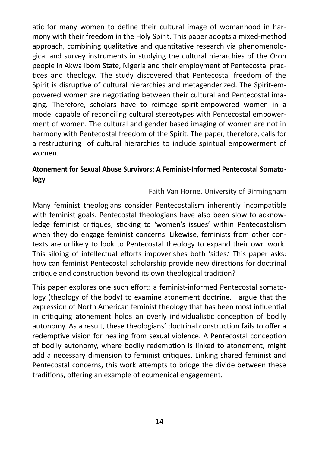atic for many women to define their cultural image of womanhood in harmony with their freedom in the Holy Spirit. This paper adopts a mixed-method approach, combining qualitative and quantitative research via phenomenological and survey instruments in studying the cultural hierarchies of the Oron people in Akwa Ibom State, Nigeria and their employment of Pentecostal practices and theology. The study discovered that Pentecostal freedom of the Spirit is disruptive of cultural hierarchies and metagenderized. The Spirit-empowered women are negotiating between their cultural and Pentecostal imaging. Therefore, scholars have to reimage spirit-empowered women in a model capable of reconciling cultural stereotypes with Pentecostal empowerment of women. The cultural and gender based imaging of women are not in harmony with Pentecostal freedom of the Spirit. The paper, therefore, calls for a restructuring of cultural hierarchies to include spiritual empowerment of women.

#### **Atonement for Sexual Abuse Survivors: A Feminist-Informed Pentecostal Somatology**

Faith Van Horne, University of Birmingham

Many feminist theologians consider Pentecostalism inherently incompatible with feminist goals. Pentecostal theologians have also been slow to acknowledge feminist critiques, sticking to 'women's issues' within Pentecostalism when they do engage feminist concerns. Likewise, feminists from other contexts are unlikely to look to Pentecostal theology to expand their own work. This siloing of intellectual efforts impoverishes both 'sides.' This paper asks: how can feminist Pentecostal scholarship provide new directions for doctrinal critique and construction beyond its own theological tradition?

This paper explores one such effort: a feminist-informed Pentecostal somatology (theology of the body) to examine atonement doctrine. I argue that the expression of North American feminist theology that has been most influential in critiquing atonement holds an overly individualistic conception of bodily autonomy. As a result, these theologians' doctrinal construction fails to offer a redemptive vision for healing from sexual violence. A Pentecostal conception of bodily autonomy, where bodily redemption is linked to atonement, might add a necessary dimension to feminist critiques. Linking shared feminist and Pentecostal concerns, this work attempts to bridge the divide between these traditions, offering an example of ecumenical engagement.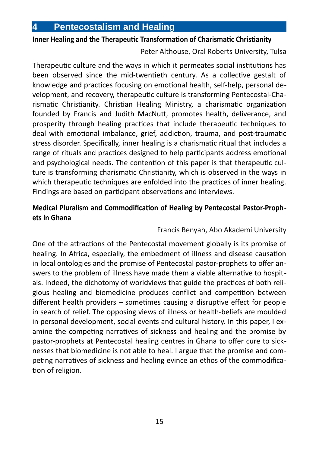#### **Inner Healing and the Therapeutic Transformation of Charismatic Christianity**

Peter Althouse, Oral Roberts University, Tulsa

Therapeutic culture and the ways in which it permeates social institutions has been observed since the mid-twentieth century. As a collective gestalt of knowledge and practices focusing on emotional health, self-help, personal development, and recovery, therapeutic culture is transforming Pentecostal-Charismatic Christianity. Christian Healing Ministry, a charismatic organization founded by Francis and Judith MacNutt, promotes health, deliverance, and prosperity through healing practices that include therapeutic techniques to deal with emotional imbalance, grief, addiction, trauma, and post-traumatic stress disorder. Specifically, inner healing is a charismatic ritual that includes a range of rituals and practices designed to help participants address emotional and psychological needs. The contention of this paper is that therapeutic culture is transforming charismatic Christianity, which is observed in the ways in which therapeutic techniques are enfolded into the practices of inner healing. Findings are based on participant observations and interviews.

#### **Medical Pluralism and Commodification of Healing by Pentecostal Pastor-Prophets in Ghana**

#### Francis Benyah, Abo Akademi University

One of the attractions of the Pentecostal movement globally is its promise of healing. In Africa, especially, the embedment of illness and disease causation in local ontologies and the promise of Pentecostal pastor-prophets to offer answers to the problem of illness have made them a viable alternative to hospitals. Indeed, the dichotomy of worldviews that guide the practices of both religious healing and biomedicine produces conflict and competition between different health providers – sometimes causing a disruptive effect for people in search of relief. The opposing views of illness or health-beliefs are moulded in personal development, social events and cultural history. In this paper, I examine the competing narratives of sickness and healing and the promise by pastor-prophets at Pentecostal healing centres in Ghana to offer cure to sicknesses that biomedicine is not able to heal. I argue that the promise and competing narratives of sickness and healing evince an ethos of the commodification of religion.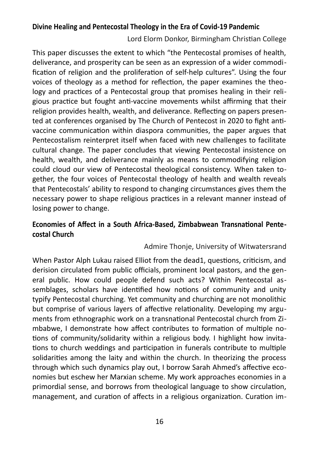#### **Divine Healing and Pentecostal Theology in the Era of Covid-19 Pandemic**

Lord Elorm Donkor, Birmingham Christian College

This paper discusses the extent to which "the Pentecostal promises of health, deliverance, and prosperity can be seen as an expression of a wider commodification of religion and the proliferation of self-help cultures". Using the four voices of theology as a method for reflection, the paper examines the theology and practices of a Pentecostal group that promises healing in their religious practice but fought anti-vaccine movements whilst affirming that their religion provides health, wealth, and deliverance. Reflecting on papers presented at conferences organised by The Church of Pentecost in 2020 to fight antivaccine communication within diaspora communities, the paper argues that Pentecostalism reinterpret itself when faced with new challenges to facilitate cultural change. The paper concludes that viewing Pentecostal insistence on health, wealth, and deliverance mainly as means to commodifying religion could cloud our view of Pentecostal theological consistency. When taken together, the four voices of Pentecostal theology of health and wealth reveals that Pentecostals' ability to respond to changing circumstances gives them the necessary power to shape religious practices in a relevant manner instead of losing power to change.

#### **Economies of Affect in a South Africa-Based, Zimbabwean Transnational Pentecostal Church**

#### Admire Thonje, University of Witwatersrand

When Pastor Alph Lukau raised Elliot from the dead1, questions, criticism, and derision circulated from public officials, prominent local pastors, and the general public. How could people defend such acts? Within Pentecostal assemblages, scholars have identified how notions of community and unity typify Pentecostal churching. Yet community and churching are not monolithic but comprise of various layers of affective relationality. Developing my arguments from ethnographic work on a transnational Pentecostal church from Zimbabwe, I demonstrate how affect contributes to formation of multiple notions of community/solidarity within a religious body. I highlight how invitations to church weddings and participation in funerals contribute to multiple solidarities among the laity and within the church. In theorizing the process through which such dynamics play out, I borrow Sarah Ahmed's affective economies but eschew her Marxian scheme. My work approaches economies in a primordial sense, and borrows from theological language to show circulation, management, and curation of affects in a religious organization. Curation im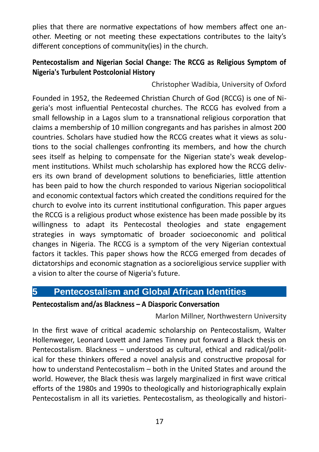plies that there are normative expectations of how members affect one another. Meeting or not meeting these expectations contributes to the laity's different conceptions of community(ies) in the church.

#### **Pentecostalism and Nigerian Social Change: The RCCG as Religious Symptom of Nigeria's Turbulent Postcolonial History**

Christopher Wadibia, University of Oxford

Founded in 1952, the Redeemed Christian Church of God (RCCG) is one of Nigeria's most influential Pentecostal churches. The RCCG has evolved from a small fellowship in a Lagos slum to a transnational religious corporation that claims a membership of 10 million congregants and has parishes in almost 200 countries. Scholars have studied how the RCCG creates what it views as solutions to the social challenges confronting its members, and how the church sees itself as helping to compensate for the Nigerian state's weak development institutions. Whilst much scholarship has explored how the RCCG delivers its own brand of development solutions to beneficiaries, little attention has been paid to how the church responded to various Nigerian sociopolitical and economic contextual factors which created the conditions required for the church to evolve into its current institutional configuration. This paper argues the RCCG is a religious product whose existence has been made possible by its willingness to adapt its Pentecostal theologies and state engagement strategies in ways symptomatic of broader socioeconomic and political changes in Nigeria. The RCCG is a symptom of the very Nigerian contextual factors it tackles. This paper shows how the RCCG emerged from decades of dictatorships and economic stagnation as a socioreligious service supplier with a vision to alter the course of Nigeria's future.

#### **5 Pentecostalism and Global African Identities**

#### **Pentecostalism and/as Blackness – A Diasporic Conversation**

Marlon Millner, Northwestern University

In the first wave of critical academic scholarship on Pentecostalism, Walter Hollenweger, Leonard Lovett and James Tinney put forward a Black thesis on Pentecostalism. Blackness – understood as cultural, ethical and radical/political for these thinkers offered a novel analysis and constructive proposal for how to understand Pentecostalism – both in the United States and around the world. However, the Black thesis was largely marginalized in first wave critical efforts of the 1980s and 1990s to theologically and historiographically explain Pentecostalism in all its varieties. Pentecostalism, as theologically and histori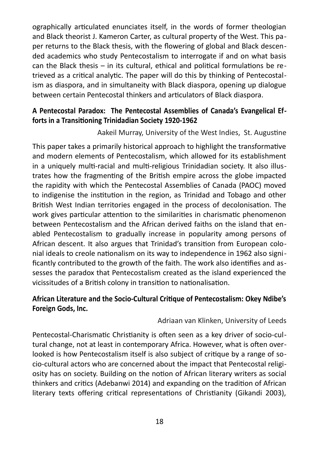ographically articulated enunciates itself, in the words of former theologian and Black theorist J. Kameron Carter, as cultural property of the West. This paper returns to the Black thesis, with the flowering of global and Black descended academics who study Pentecostalism to interrogate if and on what basis can the Black thesis – in its cultural, ethical and political formulations be retrieved as a critical analytic. The paper will do this by thinking of Pentecostalism as diaspora, and in simultaneity with Black diaspora, opening up dialogue between certain Pentecostal thinkers and articulators of Black diaspora.

#### **A Pentecostal Paradox: The Pentecostal Assemblies of Canada's Evangelical Efforts in a Transitioning Trinidadian Society 1920-1962**

Aakeil Murray, University of the West Indies, St. Augustine

This paper takes a primarily historical approach to highlight the transformative and modern elements of Pentecostalism, which allowed for its establishment in a uniquely multi-racial and multi-religious Trinidadian society. It also illustrates how the fragmenting of the British empire across the globe impacted the rapidity with which the Pentecostal Assemblies of Canada (PAOC) moved to indigenise the institution in the region, as Trinidad and Tobago and other British West Indian territories engaged in the process of decolonisation. The work gives particular attention to the similarities in charismatic phenomenon between Pentecostalism and the African derived faiths on the island that enabled Pentecostalism to gradually increase in popularity among persons of African descent. It also argues that Trinidad's transition from European colonial ideals to creole nationalism on its way to independence in 1962 also significantly contributed to the growth of the faith. The work also identifies and assesses the paradox that Pentecostalism created as the island experienced the vicissitudes of a British colony in transition to nationalisation.

#### **African Literature and the Socio-Cultural Critique of Pentecostalism: Okey Ndibe's Foreign Gods, Inc.**

#### Adriaan van Klinken, University of Leeds

Pentecostal-Charismatic Christianity is often seen as a key driver of socio-cultural change, not at least in contemporary Africa. However, what is often overlooked is how Pentecostalism itself is also subject of critique by a range of socio-cultural actors who are concerned about the impact that Pentecostal religiosity has on society. Building on the notion of African literary writers as social thinkers and critics (Adebanwi 2014) and expanding on the tradition of African literary texts offering critical representations of Christianity (Gikandi 2003),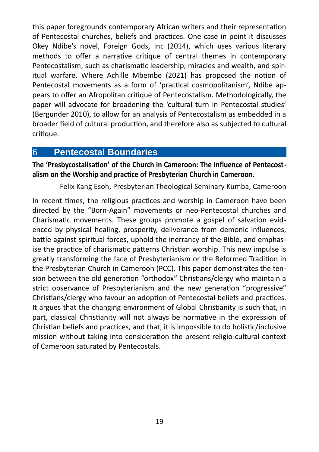this paper foregrounds contemporary African writers and their representation of Pentecostal churches, beliefs and practices. One case in point it discusses Okey Ndibe's novel, Foreign Gods, Inc (2014), which uses various literary methods to offer a narrative critique of central themes in contemporary Pentecostalism, such as charismatic leadership, miracles and wealth, and spiritual warfare. Where Achille Mbembe (2021) has proposed the notion of Pentecostal movements as a form of 'practical cosmopolitanism', Ndibe appears to offer an Afropolitan critique of Pentecostalism. Methodologically, the paper will advocate for broadening the 'cultural turn in Pentecostal studies' (Bergunder 2010), to allow for an analysis of Pentecostalism as embedded in a broader field of cultural production, and therefore also as subjected to cultural critique.

#### 6 **Pentecostal Boundaries**

**The 'Presbycostalisation' of the Church in Cameroon: The Influence of Pentecostalism on the Worship and practice of Presbyterian Church in Cameroon.** 

Felix Kang Esoh, Presbyterian Theological Seminary Kumba, Cameroon

In recent times, the religious practices and worship in Cameroon have been directed by the "Born-Again" movements or neo-Pentecostal churches and Charismatic movements. These groups promote a gospel of salvation evidenced by physical healing, prosperity, deliverance from demonic influences, battle against spiritual forces, uphold the inerrancy of the Bible, and emphasise the practice of charismatic patterns Christian worship. This new impulse is greatly transforming the face of Presbyterianism or the Reformed Tradition in the Presbyterian Church in Cameroon (PCC). This paper demonstrates the tension between the old generation "orthodox" Christians/clergy who maintain a strict observance of Presbyterianism and the new generation "progressive" Christians/clergy who favour an adoption of Pentecostal beliefs and practices. It argues that the changing environment of Global Christianity is such that, in part, classical Christianity will not always be normative in the expression of Christian beliefs and practices, and that, it is impossible to do holistic/inclusive mission without taking into consideration the present religio-cultural context of Cameroon saturated by Pentecostals.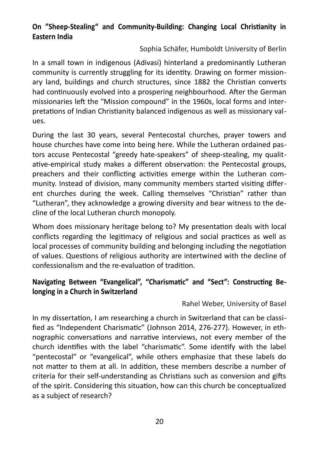#### **On "Sheep-Stealing" and Community-Building: Changing Local Christianity in Eastern India**

#### Sophia Schäfer, Humboldt University of Berlin

In a small town in indigenous (Adivasi) hinterland a predominantly Lutheran community is currently struggling for its identity. Drawing on former missionary land, buildings and church structures, since 1882 the Christian converts had continuously evolved into a prospering neighbourhood. After the German missionaries left the "Mission compound" in the 1960s, local forms and interpretations of Indian Christianity balanced indigenous as well as missionary values.

During the last 30 years, several Pentecostal churches, prayer towers and house churches have come into being here. While the Lutheran ordained pastors accuse Pentecostal "greedy hate-speakers" of sheep-stealing, my qualitative-empirical study makes a different observation: the Pentecostal groups, preachers and their conflicting activities emerge within the Lutheran community. Instead of division, many community members started visiting different churches during the week. Calling themselves "Christian" rather than "Lutheran", they acknowledge a growing diversity and bear witness to the decline of the local Lutheran church monopoly.

Whom does missionary heritage belong to? My presentation deals with local conflicts regarding the legitimacy of religious and social practices as well as local processes of community building and belonging including the negotiation of values. Questions of religious authority are intertwined with the decline of confessionalism and the re-evaluation of tradition.

#### **Navigating Between "Evangelical", "Charismatic" and "Sect": Constructing Belonging in a Church in Switzerland**

#### Rahel Weber, University of Basel

In my dissertation, I am researching a church in Switzerland that can be classified as "Independent Charismatic" (Johnson 2014, 276-277). However, in ethnographic conversations and narrative interviews, not every member of the church identifies with the label "charismatic". Some identify with the label "pentecostal" or "evangelical", while others emphasize that these labels do not matter to them at all. In addition, these members describe a number of criteria for their self-understanding as Christians such as conversion and gifts of the spirit. Considering this situation, how can this church be conceptualized as a subject of research?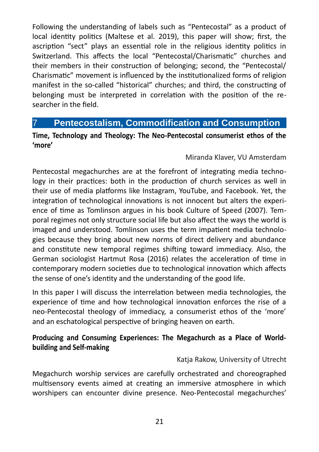Following the understanding of labels such as "Pentecostal" as a product of local identity politics (Maltese et al. 2019), this paper will show; first, the ascription "sect" plays an essential role in the religious identity politics in Switzerland. This affects the local "Pentecostal/Charismatic" churches and their members in their construction of belonging; second, the "Pentecostal/ Charismatic" movement is influenced by the institutionalized forms of religion manifest in the so-called "historical" churches; and third, the constructing of belonging must be interpreted in correlation with the position of the researcher in the field.

#### 7 **Pentecostalism, Commodification and Consumption**

#### **Time, Technology and Theology: The Neo-Pentecostal consumerist ethos of the 'more'**

#### Miranda Klaver, VU Amsterdam

Pentecostal megachurches are at the forefront of integrating media technology in their practices: both in the production of church services as well in their use of media platforms like Instagram, YouTube, and Facebook. Yet, the integration of technological innovations is not innocent but alters the experience of time as Tomlinson argues in his book Culture of Speed (2007). Temporal regimes not only structure social life but also affect the ways the world is imaged and understood. Tomlinson uses the term impatient media technologies because they bring about new norms of direct delivery and abundance and constitute new temporal regimes shifting toward immediacy. Also, the German sociologist Hartmut Rosa (2016) relates the acceleration of time in contemporary modern societies due to technological innovation which affects the sense of one's identity and the understanding of the good life.

In this paper I will discuss the interrelation between media technologies, the experience of time and how technological innovation enforces the rise of a neo-Pentecostal theology of immediacy, a consumerist ethos of the 'more' and an eschatological perspective of bringing heaven on earth.

#### **Producing and Consuming Experiences: The Megachurch as a Place of Worldbuilding and Self-making**

#### Katja Rakow, University of Utrecht

Megachurch worship services are carefully orchestrated and choreographed multisensory events aimed at creating an immersive atmosphere in which worshipers can encounter divine presence. Neo-Pentecostal megachurches'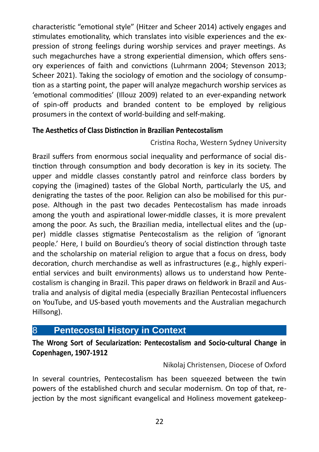characteristic "emotional style" (Hitzer and Scheer 2014) actively engages and stimulates emotionality, which translates into visible experiences and the expression of strong feelings during worship services and prayer meetings. As such megachurches have a strong experiential dimension, which offers sensory experiences of faith and convictions (Luhrmann 2004; Stevenson 2013; Scheer 2021). Taking the sociology of emotion and the sociology of consumption as a starting point, the paper will analyze megachurch worship services as 'emotional commodities' (Illouz 2009) related to an ever-expanding network of spin-off products and branded content to be employed by religious prosumers in the context of world-building and self-making.

#### **The Aesthetics of Class Distinction in Brazilian Pentecostalism**

Cristina Rocha, Western Sydney University

Brazil suffers from enormous social inequality and performance of social distinction through consumption and body decoration is key in its society. The upper and middle classes constantly patrol and reinforce class borders by copying the (imagined) tastes of the Global North, particularly the US, and denigrating the tastes of the poor. Religion can also be mobilised for this purpose. Although in the past two decades Pentecostalism has made inroads among the youth and aspirational lower-middle classes, it is more prevalent among the poor. As such, the Brazilian media, intellectual elites and the (upper) middle classes stigmatise Pentecostalism as the religion of 'ignorant people.' Here, I build on Bourdieu's theory of social distinction through taste and the scholarship on material religion to argue that a focus on dress, body decoration, church merchandise as well as infrastructures (e.g., highly experiential services and built environments) allows us to understand how Pentecostalism is changing in Brazil. This paper draws on fieldwork in Brazil and Australia and analysis of digital media (especially Brazilian Pentecostal influencers on YouTube, and US-based youth movements and the Australian megachurch Hillsong).

#### 8 **Pentecostal History in Context**

**The Wrong Sort of Secularization: Pentecostalism and Socio-cultural Change in Copenhagen, 1907-1912** 

Nikolaj Christensen, Diocese of Oxford

In several countries, Pentecostalism has been squeezed between the twin powers of the established church and secular modernism. On top of that, rejection by the most significant evangelical and Holiness movement gatekeep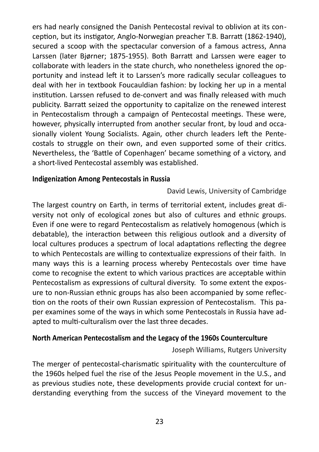ers had nearly consigned the Danish Pentecostal revival to oblivion at its conception, but its instigator, Anglo-Norwegian preacher T.B. Barratt (1862-1940), secured a scoop with the spectacular conversion of a famous actress, Anna Larssen (later Bjørner; 1875-1955). Both Barratt and Larssen were eager to collaborate with leaders in the state church, who nonetheless ignored the opportunity and instead left it to Larssen's more radically secular colleagues to deal with her in textbook Foucauldian fashion: by locking her up in a mental institution. Larssen refused to de-convert and was finally released with much publicity. Barratt seized the opportunity to capitalize on the renewed interest in Pentecostalism through a campaign of Pentecostal meetings. These were, however, physically interrupted from another secular front, by loud and occasionally violent Young Socialists. Again, other church leaders left the Pentecostals to struggle on their own, and even supported some of their critics. Nevertheless, the 'Battle of Copenhagen' became something of a victory, and a short-lived Pentecostal assembly was established.

#### **Indigenization Among Pentecostals in Russia**

David Lewis, University of Cambridge

The largest country on Earth, in terms of territorial extent, includes great diversity not only of ecological zones but also of cultures and ethnic groups. Even if one were to regard Pentecostalism as relatively homogenous (which is debatable), the interaction between this religious outlook and a diversity of local cultures produces a spectrum of local adaptations reflecting the degree to which Pentecostals are willing to contextualize expressions of their faith. In many ways this is a learning process whereby Pentecostals over time have come to recognise the extent to which various practices are acceptable within Pentecostalism as expressions of cultural diversity. To some extent the exposure to non-Russian ethnic groups has also been accompanied by some reflection on the roots of their own Russian expression of Pentecostalism. This paper examines some of the ways in which some Pentecostals in Russia have adapted to multi-culturalism over the last three decades.

#### **North American Pentecostalism and the Legacy of the 1960s Counterculture**

Joseph Williams, Rutgers University

The merger of pentecostal-charismatic spirituality with the counterculture of the 1960s helped fuel the rise of the Jesus People movement in the U.S., and as previous studies note, these developments provide crucial context for understanding everything from the success of the Vineyard movement to the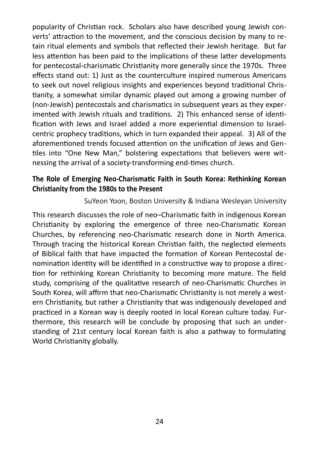popularity of Christian rock. Scholars also have described young Jewish converts' attraction to the movement, and the conscious decision by many to retain ritual elements and symbols that reflected their Jewish heritage. But far less attention has been paid to the implications of these latter developments for pentecostal-charismatic Christianity more generally since the 1970s. Three effects stand out: 1) Just as the counterculture inspired numerous Americans to seek out novel religious insights and experiences beyond traditional Christianity, a somewhat similar dynamic played out among a growing number of (non-Jewish) pentecostals and charismatics in subsequent years as they experimented with Jewish rituals and traditions. 2) This enhanced sense of identification with Jews and Israel added a more experiential dimension to Israelcentric prophecy traditions, which in turn expanded their appeal. 3) All of the aforementioned trends focused attention on the unification of Jews and Gentiles into "One New Man," bolstering expectations that believers were witnessing the arrival of a society-transforming end-times church.

#### **The Role of Emerging Neo-Charismatic Faith in South Korea: Rethinking Korean Christianity from the 1980s to the Present**

SuYeon Yoon, Boston University & Indiana Wesleyan University

This research discusses the role of neo–Charismatic faith in indigenous Korean Christianity by exploring the emergence of three neo-Charismatic Korean Churches, by referencing neo-Charismatic research done in North America. Through tracing the historical Korean Christian faith, the neglected elements of Biblical faith that have impacted the formation of Korean Pentecostal denomination identity will be identified in a constructive way to propose a direction for rethinking Korean Christianity to becoming more mature. The field study, comprising of the qualitative research of neo-Charismatic Churches in South Korea, will affirm that neo-Charismatic Christianity is not merely a western Christianity, but rather a Christianity that was indigenously developed and practiced in a Korean way is deeply rooted in local Korean culture today. Furthermore, this research will be conclude by proposing that such an understanding of 21st century local Korean faith is also a pathway to formulating World Christianity globally.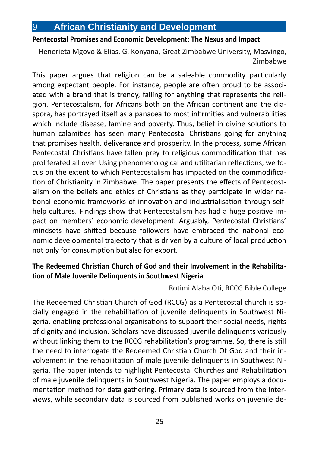#### 9 **African Christianity and Development**

#### **Pentecostal Promises and Economic Development: The Nexus and Impact**

Henerieta Mgovo & Elias. G. Konyana, Great Zimbabwe University, Masvingo, Zimbabwe

This paper argues that religion can be a saleable commodity particularly among expectant people. For instance, people are often proud to be associated with a brand that is trendy, falling for anything that represents the religion. Pentecostalism, for Africans both on the African continent and the diaspora, has portrayed itself as a panacea to most infirmities and vulnerabilities which include disease, famine and poverty. Thus, belief in divine solutions to human calamities has seen many Pentecostal Christians going for anything that promises health, deliverance and prosperity. In the process, some African Pentecostal Christians have fallen prey to religious commodification that has proliferated all over. Using phenomenological and utilitarian reflections, we focus on the extent to which Pentecostalism has impacted on the commodification of Christianity in Zimbabwe. The paper presents the effects of Pentecostalism on the beliefs and ethics of Christians as they participate in wider national economic frameworks of innovation and industrialisation through selfhelp cultures. Findings show that Pentecostalism has had a huge positive impact on members' economic development. Arguably, Pentecostal Christians' mindsets have shifted because followers have embraced the national economic developmental trajectory that is driven by a culture of local production not only for consumption but also for export.

#### **The Redeemed Christian Church of God and their Involvement in the Rehabilitation of Male Juvenile Delinquents in Southwest Nigeria**

#### Rotimi Alaba Oti, RCCG Bible College

The Redeemed Christian Church of God (RCCG) as a Pentecostal church is socially engaged in the rehabilitation of juvenile delinquents in Southwest Nigeria, enabling professional organisations to support their social needs, rights of dignity and inclusion. Scholars have discussed juvenile delinquents variously without linking them to the RCCG rehabilitation's programme. So, there is still the need to interrogate the Redeemed Christian Church Of God and their involvement in the rehabilitation of male juvenile delinquents in Southwest Nigeria. The paper intends to highlight Pentecostal Churches and Rehabilitation of male juvenile delinquents in Southwest Nigeria. The paper employs a documentation method for data gathering. Primary data is sourced from the interviews, while secondary data is sourced from published works on juvenile de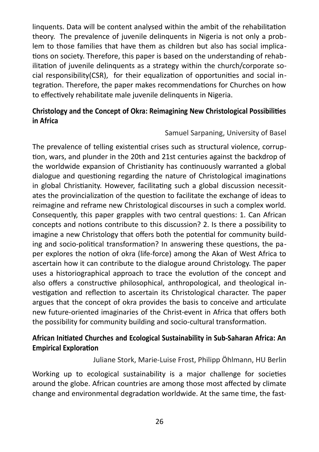linquents. Data will be content analysed within the ambit of the rehabilitation theory. The prevalence of juvenile delinquents in Nigeria is not only a problem to those families that have them as children but also has social implications on society. Therefore, this paper is based on the understanding of rehabilitation of juvenile delinquents as a strategy within the church/corporate social responsibility(CSR), for their equalization of opportunities and social integration. Therefore, the paper makes recommendations for Churches on how to effectively rehabilitate male juvenile delinquents in Nigeria.

#### **Christology and the Concept of Okra: Reimagining New Christological Possibilities in Africa**

#### Samuel Sarpaning, University of Basel

The prevalence of telling existential crises such as structural violence, corruption, wars, and plunder in the 20th and 21st centuries against the backdrop of the worldwide expansion of Christianity has continuously warranted a global dialogue and questioning regarding the nature of Christological imaginations in global Christianity. However, facilitating such a global discussion necessitates the provincialization of the question to facilitate the exchange of ideas to reimagine and reframe new Christological discourses in such a complex world. Consequently, this paper grapples with two central questions: 1. Can African concepts and notions contribute to this discussion? 2. Is there a possibility to imagine a new Christology that offers both the potential for community building and socio-political transformation? In answering these questions, the paper explores the notion of okra (life-force) among the Akan of West Africa to ascertain how it can contribute to the dialogue around Christology. The paper uses a historiographical approach to trace the evolution of the concept and also offers a constructive philosophical, anthropological, and theological investigation and reflection to ascertain its Christological character. The paper argues that the concept of okra provides the basis to conceive and articulate new future-oriented imaginaries of the Christ-event in Africa that offers both the possibility for community building and socio-cultural transformation.

#### **African Initiated Churches and Ecological Sustainability in Sub-Saharan Africa: An Empirical Exploration**

Juliane Stork, Marie-Luise Frost, Philipp Öhlmann, HU Berlin

Working up to ecological sustainability is a major challenge for societies around the globe. African countries are among those most affected by climate change and environmental degradation worldwide. At the same time, the fast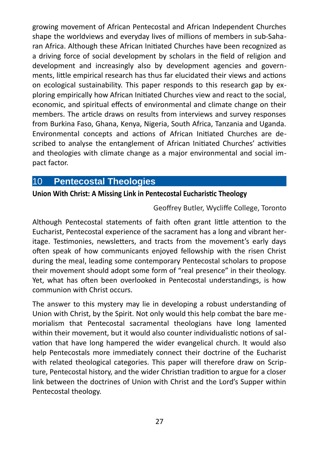growing movement of African Pentecostal and African Independent Churches shape the worldviews and everyday lives of millions of members in sub-Saharan Africa. Although these African Initiated Churches have been recognized as a driving force of social development by scholars in the field of religion and development and increasingly also by development agencies and governments, little empirical research has thus far elucidated their views and actions on ecological sustainability. This paper responds to this research gap by exploring empirically how African Initiated Churches view and react to the social, economic, and spiritual effects of environmental and climate change on their members. The article draws on results from interviews and survey responses from Burkina Faso, Ghana, Kenya, Nigeria, South Africa, Tanzania and Uganda. Environmental concepts and actions of African Initiated Churches are described to analyse the entanglement of African Initiated Churches' activities and theologies with climate change as a major environmental and social impact factor.

#### 10 **Pentecostal Theologies**

#### **Union With Christ: A Missing Link in Pentecostal Eucharistic Theology**

#### Geoffrey Butler, Wycliffe College, Toronto

Although Pentecostal statements of faith often grant little attention to the Eucharist, Pentecostal experience of the sacrament has a long and vibrant heritage. Testimonies, newsletters, and tracts from the movement's early days often speak of how communicants enjoyed fellowship with the risen Christ during the meal, leading some contemporary Pentecostal scholars to propose their movement should adopt some form of "real presence" in their theology. Yet, what has often been overlooked in Pentecostal understandings, is how communion with Christ occurs.

The answer to this mystery may lie in developing a robust understanding of Union with Christ, by the Spirit. Not only would this help combat the bare memorialism that Pentecostal sacramental theologians have long lamented within their movement, but it would also counter individualistic notions of salvation that have long hampered the wider evangelical church. It would also help Pentecostals more immediately connect their doctrine of the Eucharist with related theological categories. This paper will therefore draw on Scripture, Pentecostal history, and the wider Christian tradition to argue for a closer link between the doctrines of Union with Christ and the Lord's Supper within Pentecostal theology.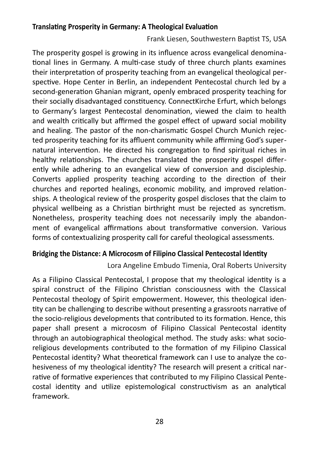#### **Translating Prosperity in Germany: A Theological Evaluation**

Frank Liesen, Southwestern Baptist TS, USA

The prosperity gospel is growing in its influence across evangelical denominational lines in Germany. A multi-case study of three church plants examines their interpretation of prosperity teaching from an evangelical theological perspective. Hope Center in Berlin, an independent Pentecostal church led by a second-generation Ghanian migrant, openly embraced prosperity teaching for their socially disadvantaged constituency. ConnectKirche Erfurt, which belongs to Germany's largest Pentecostal denomination, viewed the claim to health and wealth critically but affirmed the gospel effect of upward social mobility and healing. The pastor of the non-charismatic Gospel Church Munich rejected prosperity teaching for its affluent community while affirming God's supernatural intervention. He directed his congregation to find spiritual riches in healthy relationships. The churches translated the prosperity gospel differently while adhering to an evangelical view of conversion and discipleship. Converts applied prosperity teaching according to the direction of their churches and reported healings, economic mobility, and improved relationships. A theological review of the prosperity gospel discloses that the claim to physical wellbeing as a Christian birthright must be rejected as syncretism. Nonetheless, prosperity teaching does not necessarily imply the abandonment of evangelical affirmations about transformative conversion. Various forms of contextualizing prosperity call for careful theological assessments.

#### **Bridging the Distance: A Microcosm of Filipino Classical Pentecostal Identity**

Lora Angeline Embudo Timenia, Oral Roberts University

As a Filipino Classical Pentecostal, I propose that my theological identity is a spiral construct of the Filipino Christian consciousness with the Classical Pentecostal theology of Spirit empowerment. However, this theological identity can be challenging to describe without presenting a grassroots narrative of the socio-religious developments that contributed to its formation. Hence, this paper shall present a microcosm of Filipino Classical Pentecostal identity through an autobiographical theological method. The study asks: what socioreligious developments contributed to the formation of my Filipino Classical Pentecostal identity? What theoretical framework can I use to analyze the cohesiveness of my theological identity? The research will present a critical narrative of formative experiences that contributed to my Filipino Classical Pentecostal identity and utilize epistemological constructivism as an analytical framework.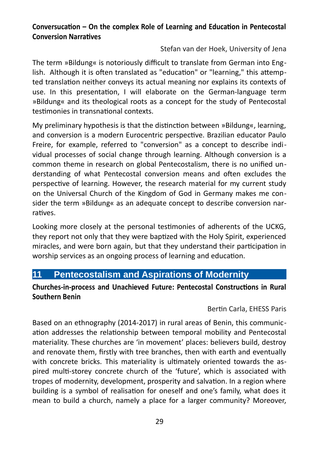#### **Conversucation – On the complex Role of Learning and Education in Pentecostal Conversion Narratives**

Stefan van der Hoek, University of Jena

The term »Bildung« is notoriously difficult to translate from German into English. Although it is often translated as "education" or "learning," this attempted translation neither conveys its actual meaning nor explains its contexts of use. In this presentation, I will elaborate on the German-language term »Bildung« and its theological roots as a concept for the study of Pentecostal testimonies in transnational contexts.

My preliminary hypothesis is that the distinction between »Bildung«, learning, and conversion is a modern Eurocentric perspective. Brazilian educator Paulo Freire, for example, referred to "conversion" as a concept to describe individual processes of social change through learning. Although conversion is a common theme in research on global Pentecostalism, there is no unified understanding of what Pentecostal conversion means and often excludes the perspective of learning. However, the research material for my current study on the Universal Church of the Kingdom of God in Germany makes me consider the term »Bildung« as an adequate concept to describe conversion narratives.

Looking more closely at the personal testimonies of adherents of the UCKG, they report not only that they were baptized with the Holy Spirit, experienced miracles, and were born again, but that they understand their participation in worship services as an ongoing process of learning and education.

#### **11 Pentecostalism and Aspirations of Modernity**

#### **Churches-in-process and Unachieved Future: Pentecostal Constructions in Rural Southern Benin**

Bertin Carla, EHESS Paris

Based on an ethnography (2014-2017) in rural areas of Benin, this communication addresses the relationship between temporal mobility and Pentecostal materiality. These churches are 'in movement' places: believers build, destroy and renovate them, firstly with tree branches, then with earth and eventually with concrete bricks. This materiality is ultimately oriented towards the aspired multi-storey concrete church of the 'future', which is associated with tropes of modernity, development, prosperity and salvation. In a region where building is a symbol of realisation for oneself and one's family, what does it mean to build a church, namely a place for a larger community? Moreover,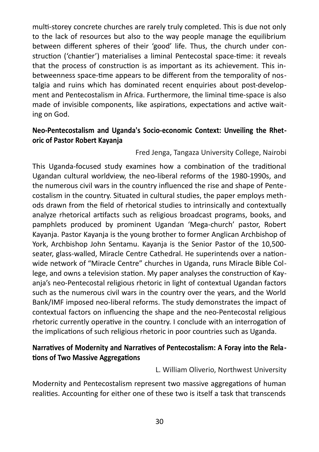multi-storey concrete churches are rarely truly completed. This is due not only to the lack of resources but also to the way people manage the equilibrium between different spheres of their 'good' life. Thus, the church under construction ('chantier') materialises a liminal Pentecostal space-time: it reveals that the process of construction is as important as its achievement. This inbetweenness space-time appears to be different from the temporality of nostalgia and ruins which has dominated recent enquiries about post-development and Pentecostalism in Africa. Furthermore, the liminal time-space is also made of invisible components, like aspirations, expectations and active waiting on God.

#### **Neo-Pentecostalism and Uganda's Socio-economic Context: Unveiling the Rhetoric of Pastor Robert Kayanja**

#### Fred Jenga, Tangaza University College, Nairobi

This Uganda-focused study examines how a combination of the traditional Ugandan cultural worldview, the neo-liberal reforms of the 1980-1990s, and the numerous civil wars in the country influenced the rise and shape of Pentecostalism in the country. Situated in cultural studies, the paper employs methods drawn from the field of rhetorical studies to intrinsically and contextually analyze rhetorical artifacts such as religious broadcast programs, books, and pamphlets produced by prominent Ugandan 'Mega-church' pastor, Robert Kayanja. Pastor Kayanja is the young brother to former Anglican Archbishop of York, Archbishop John Sentamu. Kayanja is the Senior Pastor of the 10,500 seater, glass-walled, Miracle Centre Cathedral. He superintends over a nationwide network of "Miracle Centre" churches in Uganda, runs Miracle Bible College, and owns a television station. My paper analyses the construction of Kayanja's neo-Pentecostal religious rhetoric in light of contextual Ugandan factors such as the numerous civil wars in the country over the years, and the World Bank/IMF imposed neo-liberal reforms. The study demonstrates the impact of contextual factors on influencing the shape and the neo-Pentecostal religious rhetoric currently operative in the country. I conclude with an interrogation of the implications of such religious rhetoric in poor countries such as Uganda.

#### **Narratives of Modernity and Narratives of Pentecostalism: A Foray into the Relations of Two Massive Aggregations**

L. William Oliverio, Northwest University

Modernity and Pentecostalism represent two massive aggregations of human realities. Accounting for either one of these two is itself a task that transcends